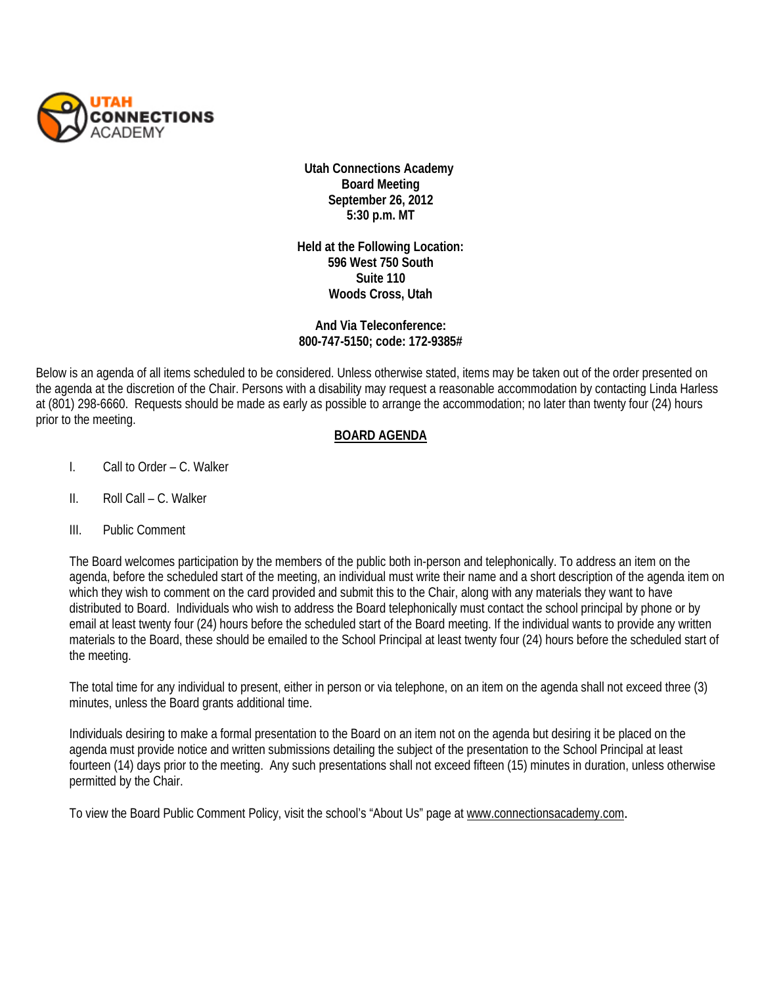

**Utah Connections Academy Board Meeting September 26, 2012 5:30 p.m. MT** 

**Held at the Following Location: 596 West 750 South Suite 110 Woods Cross, Utah**

## **And Via Teleconference: 800-747-5150; code: 172-9385#**

Below is an agenda of all items scheduled to be considered. Unless otherwise stated, items may be taken out of the order presented on the agenda at the discretion of the Chair. Persons with a disability may request a reasonable accommodation by contacting Linda Harless at (801) 298-6660. Requests should be made as early as possible to arrange the accommodation; no later than twenty four (24) hours prior to the meeting.

## **BOARD AGENDA**

- I. Call to Order C. Walker
- II. Roll Call C. Walker
- III. Public Comment

The Board welcomes participation by the members of the public both in-person and telephonically. To address an item on the agenda, before the scheduled start of the meeting, an individual must write their name and a short description of the agenda item on which they wish to comment on the card provided and submit this to the Chair, along with any materials they want to have distributed to Board. Individuals who wish to address the Board telephonically must contact the school principal by phone or by email at least twenty four (24) hours before the scheduled start of the Board meeting. If the individual wants to provide any written materials to the Board, these should be emailed to the School Principal at least twenty four (24) hours before the scheduled start of the meeting.

The total time for any individual to present, either in person or via telephone, on an item on the agenda shall not exceed three (3) minutes, unless the Board grants additional time.

Individuals desiring to make a formal presentation to the Board on an item not on the agenda but desiring it be placed on the agenda must provide notice and written submissions detailing the subject of the presentation to the School Principal at least fourteen (14) days prior to the meeting. Any such presentations shall not exceed fifteen (15) minutes in duration, unless otherwise permitted by the Chair.

To view the Board Public Comment Policy, visit the school's "About Us" page at [www.connectionsacademy.com](http://www.connectionsacademy.com/).